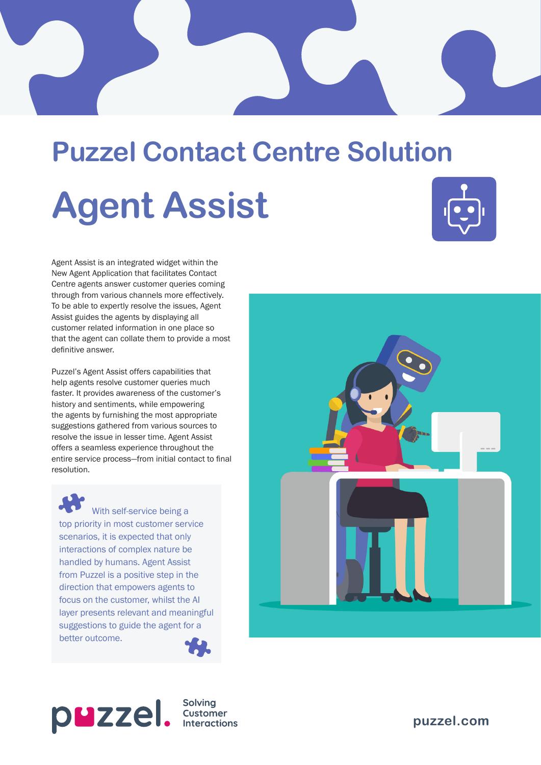# **Puzzel Contact Centre Solution Agent Assist**



Agent Assist is an integrated widget within the New Agent Application that facilitates Contact Centre agents answer customer queries coming through from various channels more effectively. To be able to expertly resolve the issues, Agent Assist guides the agents by displaying all customer related information in one place so that the agent can collate them to provide a most definitive answer.

Puzzel's Agent Assist offers capabilities that help agents resolve customer queries much faster. It provides awareness of the customer's history and sentiments, while empowering the agents by furnishing the most appropriate suggestions gathered from various sources to resolve the issue in lesser time. Agent Assist offers a seamless experience throughout the entire service process—from initial contact to final resolution.

With self-service being a top priority in most customer service scenarios, it is expected that only interactions of complex nature be handled by humans. Agent Assist from Puzzel is a positive step in the direction that empowers agents to focus on the customer, whilst the AI layer presents relevant and meaningful suggestions to guide the agent for a better outcome.





Solving **Interactions** 

**puzzel[.com](http://www.puzzel.com)**